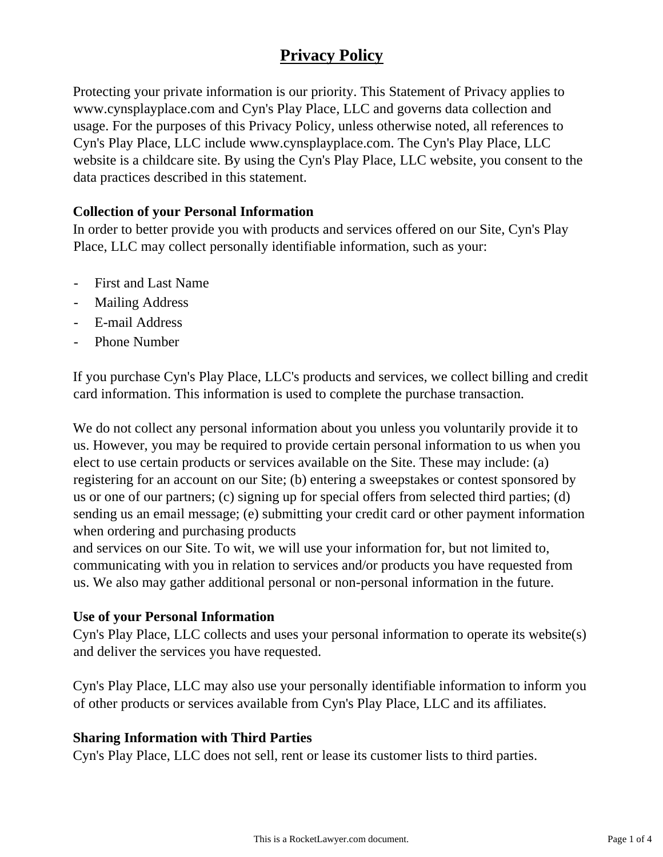# **Privacy Policy**

Protecting your private information is our priority. This Statement of Privacy applies to www.cynsplayplace.com and Cyn's Play Place, LLC and governs data collection and usage. For the purposes of this Privacy Policy, unless otherwise noted, all references to Cyn's Play Place, LLC include www.cynsplayplace.com. The Cyn's Play Place, LLC website is a childcare site. By using the Cyn's Play Place, LLC website, you consent to the data practices described in this statement.

## **Collection of your Personal Information**

In order to better provide you with products and services offered on our Site, Cyn's Play Place, LLC may collect personally identifiable information, such as your:

- First and Last Name
- Mailing Address
- E-mail Address
- Phone Number

If you purchase Cyn's Play Place, LLC's products and services, we collect billing and credit card information. This information is used to complete the purchase transaction.

We do not collect any personal information about you unless you voluntarily provide it to us. However, you may be required to provide certain personal information to us when you elect to use certain products or services available on the Site. These may include: (a) registering for an account on our Site; (b) entering a sweepstakes or contest sponsored by us or one of our partners; (c) signing up for special offers from selected third parties; (d) sending us an email message; (e) submitting your credit card or other payment information when ordering and purchasing products

and services on our Site. To wit, we will use your information for, but not limited to, communicating with you in relation to services and/or products you have requested from us. We also may gather additional personal or non-personal information in the future.

#### **Use of your Personal Information**

Cyn's Play Place, LLC collects and uses your personal information to operate its website(s) and deliver the services you have requested.

Cyn's Play Place, LLC may also use your personally identifiable information to inform you of other products or services available from Cyn's Play Place, LLC and its affiliates.

## **Sharing Information with Third Parties**

Cyn's Play Place, LLC does not sell, rent or lease its customer lists to third parties.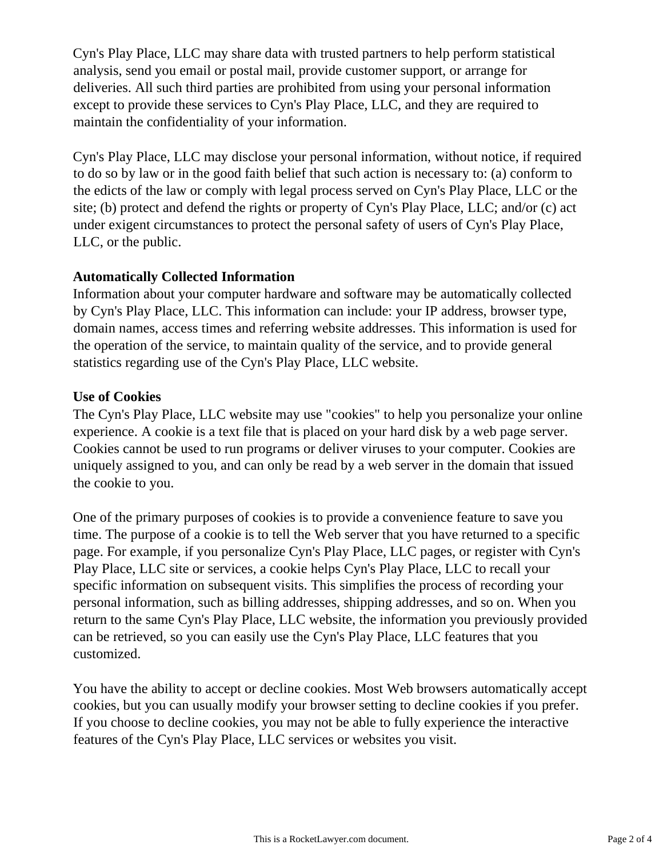Cyn's Play Place, LLC may share data with trusted partners to help perform statistical analysis, send you email or postal mail, provide customer support, or arrange for deliveries. All such third parties are prohibited from using your personal information except to provide these services to Cyn's Play Place, LLC, and they are required to maintain the confidentiality of your information.

Cyn's Play Place, LLC may disclose your personal information, without notice, if required to do so by law or in the good faith belief that such action is necessary to: (a) conform to the edicts of the law or comply with legal process served on Cyn's Play Place, LLC or the site; (b) protect and defend the rights or property of Cyn's Play Place, LLC; and/or (c) act under exigent circumstances to protect the personal safety of users of Cyn's Play Place, LLC, or the public.

## **Automatically Collected Information**

Information about your computer hardware and software may be automatically collected by Cyn's Play Place, LLC. This information can include: your IP address, browser type, domain names, access times and referring website addresses. This information is used for the operation of the service, to maintain quality of the service, and to provide general statistics regarding use of the Cyn's Play Place, LLC website.

## **Use of Cookies**

The Cyn's Play Place, LLC website may use "cookies" to help you personalize your online experience. A cookie is a text file that is placed on your hard disk by a web page server. Cookies cannot be used to run programs or deliver viruses to your computer. Cookies are uniquely assigned to you, and can only be read by a web server in the domain that issued the cookie to you.

One of the primary purposes of cookies is to provide a convenience feature to save you time. The purpose of a cookie is to tell the Web server that you have returned to a specific page. For example, if you personalize Cyn's Play Place, LLC pages, or register with Cyn's Play Place, LLC site or services, a cookie helps Cyn's Play Place, LLC to recall your specific information on subsequent visits. This simplifies the process of recording your personal information, such as billing addresses, shipping addresses, and so on. When you return to the same Cyn's Play Place, LLC website, the information you previously provided can be retrieved, so you can easily use the Cyn's Play Place, LLC features that you customized.

You have the ability to accept or decline cookies. Most Web browsers automatically accept cookies, but you can usually modify your browser setting to decline cookies if you prefer. If you choose to decline cookies, you may not be able to fully experience the interactive features of the Cyn's Play Place, LLC services or websites you visit.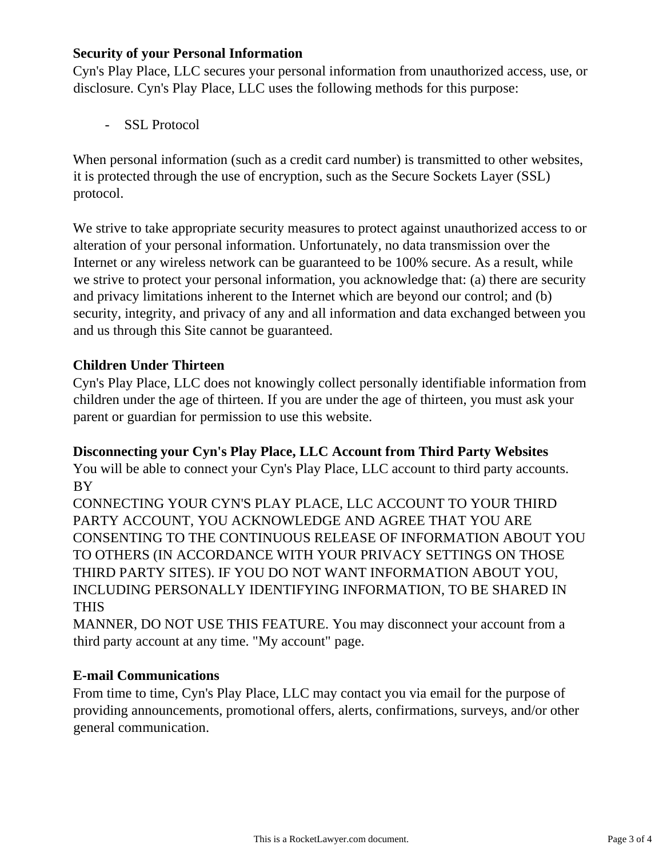## **Security of your Personal Information**

Cyn's Play Place, LLC secures your personal information from unauthorized access, use, or disclosure. Cyn's Play Place, LLC uses the following methods for this purpose:

- SSL Protocol

When personal information (such as a credit card number) is transmitted to other websites, it is protected through the use of encryption, such as the Secure Sockets Layer (SSL) protocol.

We strive to take appropriate security measures to protect against unauthorized access to or alteration of your personal information. Unfortunately, no data transmission over the Internet or any wireless network can be guaranteed to be 100% secure. As a result, while we strive to protect your personal information, you acknowledge that: (a) there are security and privacy limitations inherent to the Internet which are beyond our control; and (b) security, integrity, and privacy of any and all information and data exchanged between you and us through this Site cannot be guaranteed.

#### **Children Under Thirteen**

Cyn's Play Place, LLC does not knowingly collect personally identifiable information from children under the age of thirteen. If you are under the age of thirteen, you must ask your parent or guardian for permission to use this website.

#### **Disconnecting your Cyn's Play Place, LLC Account from Third Party Websites**

You will be able to connect your Cyn's Play Place, LLC account to third party accounts. BY

CONNECTING YOUR CYN'S PLAY PLACE, LLC ACCOUNT TO YOUR THIRD PARTY ACCOUNT, YOU ACKNOWLEDGE AND AGREE THAT YOU ARE CONSENTING TO THE CONTINUOUS RELEASE OF INFORMATION ABOUT YOU TO OTHERS (IN ACCORDANCE WITH YOUR PRIVACY SETTINGS ON THOSE THIRD PARTY SITES). IF YOU DO NOT WANT INFORMATION ABOUT YOU, INCLUDING PERSONALLY IDENTIFYING INFORMATION, TO BE SHARED IN THIS

MANNER, DO NOT USE THIS FEATURE. You may disconnect your account from a third party account at any time. "My account" page.

## **E-mail Communications**

From time to time, Cyn's Play Place, LLC may contact you via email for the purpose of providing announcements, promotional offers, alerts, confirmations, surveys, and/or other general communication.